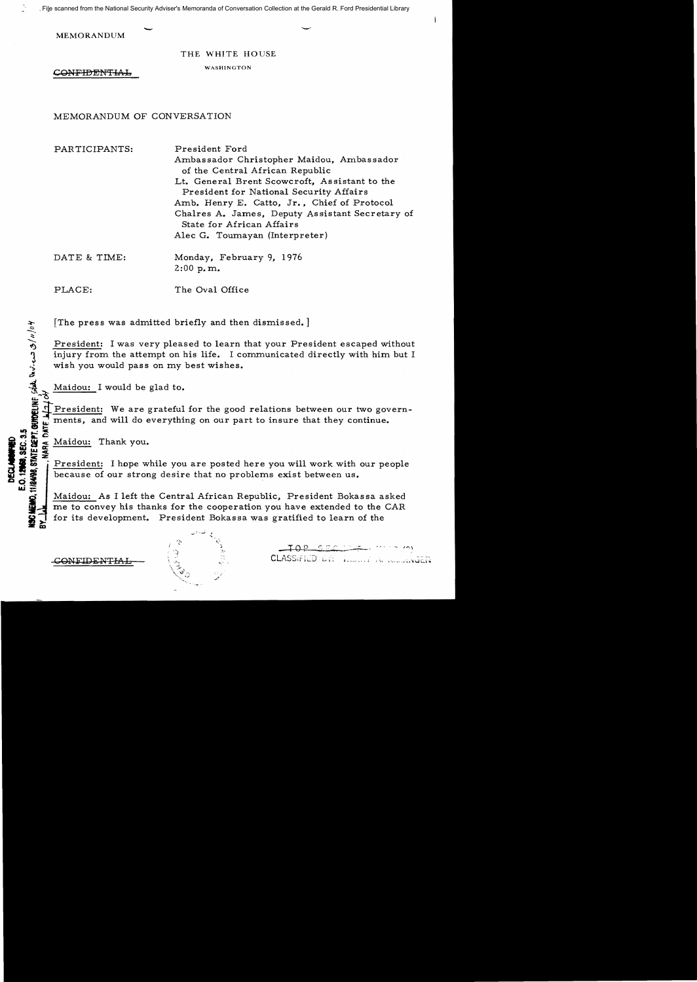File scanned from the National Security Adviser's Memoranda of Conversation Collection at the Gerald R. Ford Presidential Library

**MEMORANDUM** 

THE WHITE HOUSE

CONFIDENTIAL WASHINGTON

MEMORANDUM OF CONVERSATION

PARTICIPANTS: President Ford Ambassador Christopher Maidou, Ambassador of the Central African Republic Lt. General Brent Scowcroft, Assistant to the President for National Security Affairs Amb. Henry E. Catto, Jr., Chief of Protocol ChaIres A. James, Deputy Assistant Secretary of State for African Affairs Alec G. Toumayan (Interpreter) DATE & TIME: Monday, February 9, 1976

2:00 p. m.

PLACE: The Oval Office

 $[The press was admitted briefly and then dismissed.]$ 

President: I was very pleased to learn that your President escaped without injury from the attempt on his life. I communicated directly with him but I wish you would pass on my best wishes.

Maidou: I would be glad to.

President: We are grateful for the good relations between our two govern-I. ments, and will do everything on our part to insure that they continue.<br>
E. Maidou: Thank you.<br>
S. Maidou: Thank you.

 $A^a/\nu/\mathcal{E}$ 

&

 $\alpha \in \mathcal{C}$ 

E.O. 12908. SEC. 3.5

**w;:** 

Maidou: Thank you.<br>President: I hope while you are posted here you will work with our people because of our strong desire that no problems exist between us.

Maidou: As I left the Central African Republic, President Bokassa asked<br>In the top convey his thanks for the cooperation you have extended to the CAR me to convey his thanks for the cooperation you have extended to the CAR for its development. President Bokassa was gratified to learn of the

 $-70P-5ECL$ CONFIDENTIAL RESERVE CLASSIFIED DR. I.L. ... A REPORT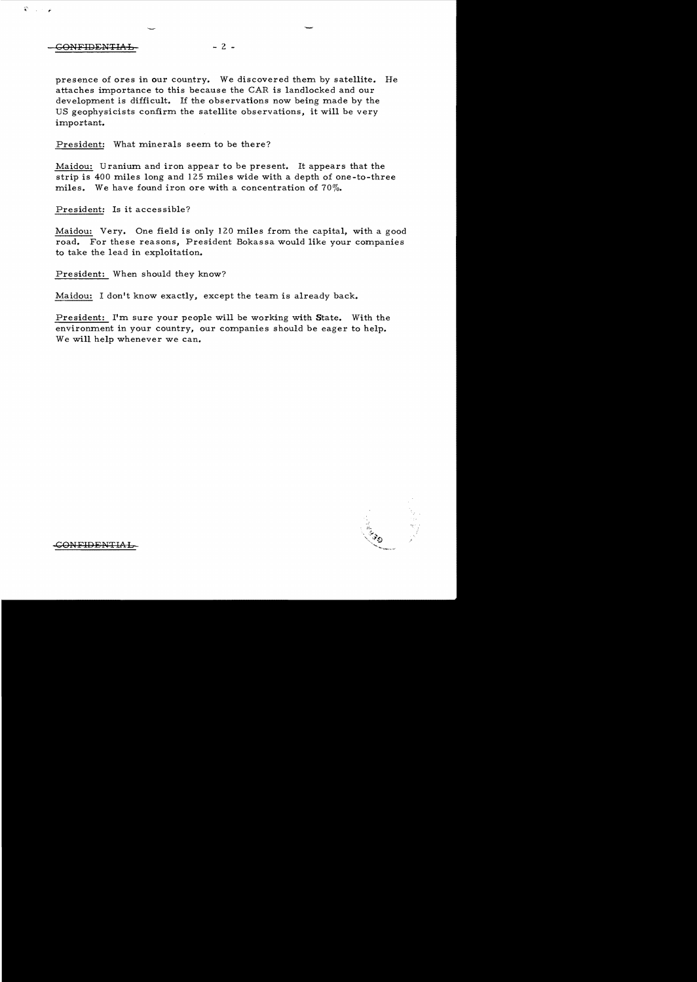## CONFIDENTIAL - 2 -

P.

presence of ores in our country. We discovered them by satellite. He attaches importance to this because the CAR is landlocked and our development is difficult. If the observations now being made by the US geophysicists confirm the satellite observations, it will be very important.

President: What minerals seem to be there?

Maidou: Uranium and iron appear to be present. It appears that the strip is 400 miles long and 125 miles wide with a depth of one-to-three miles. We have found iron ore with a concentration of 70%.

President: Is it accessible?

Maidou: Very. One field is only 120 miles from the capital, with a good road. For these reasons, President Bokassa would like your companies to take the lead in exploitation.

President: When should they know?

Maidou: I don't know exactly, except the team is already back.

President: I'm sure your people will be working with State. With the environment in your country, our companies should be eager to help. We will help whenever we can.



CONFIDENTIAL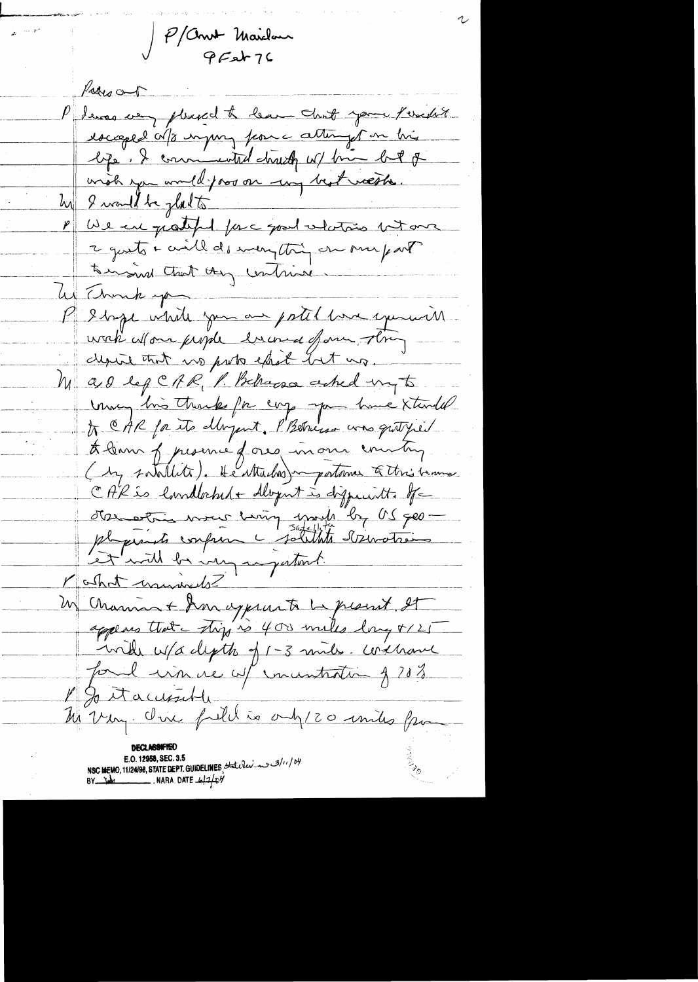P/Commt Maidour<br>PFet 76

Value P devos very pleased to learn that your Perchit racaged als unpury from a attempt on his lipe, & commented druck w/ bin but of wish you would poor on my best weethe. he I would be platte We are grateful forc good vlation but one  $\mathbb{Z}^{\parallel}$ 2 guests + civil des monstering on ome part? to mained that they contained W Thunk you P 2 byce while you are patel love exercices wak allow fright have four thing depite that no puts sport but us. Mas lef CRR, P. Behaves asked my to mong his thank for corp -pa have standed to CAR for its dbryont, PBStriesso was quity it A bonne presence dans inour country CAR is landbeked + dlopnt is disposant to the d'as estre mour moin montre les 900 plaquents confron c solithte derivations Let with be very anywheret. M Channa + Ann appearte La present et appears that try is 400 miles long +125 with ups depth of 1-3 mile. Without fond win re w/ incentration of 2023  $\mathbb{Z}_{+}$ Jo it accessible M'Very. One full is only 20 miles from E.O. 12958, SEC. 3.5 /11/04/11/24/98, STATE DEPT. GUIDELINES State leve and 3/11/04  $BY$   $\frac{1}{10}$  NARA DATE  $\frac{1}{2}$   $\frac{1}{2}$